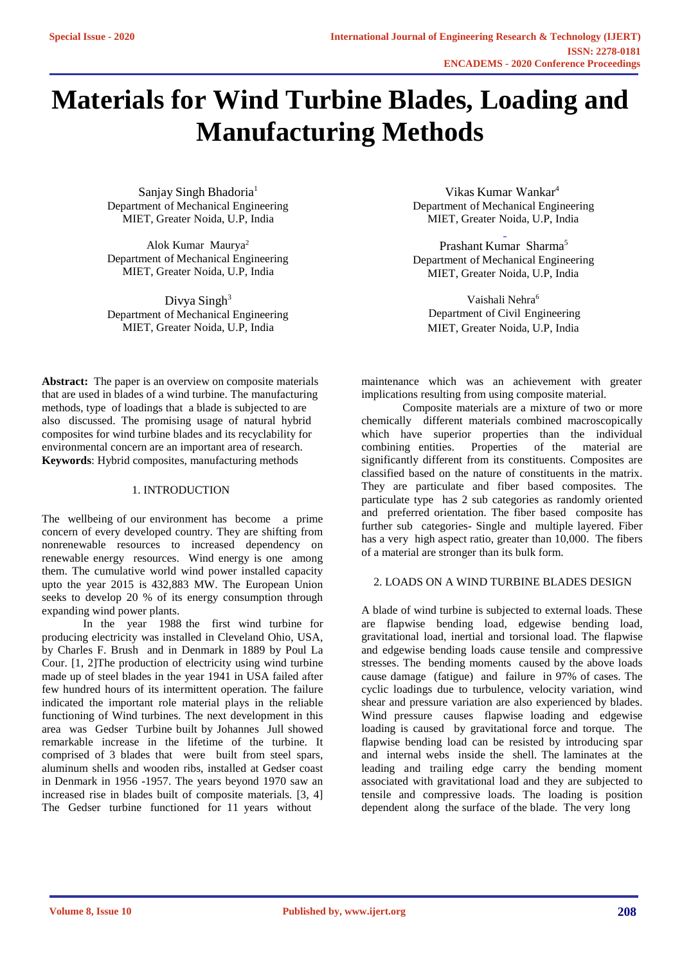# **Materials for Wind Turbine Blades, Loading and Manufacturing Methods**

Sanjay Singh Bhadoria<sup>1</sup> Department of Mechanical Engineering MIET, Greater Noida, U.P, India

Alok Kumar Maurya<sup>2</sup> Department of Mechanical Engineering MIET, Greater Noida, U.P, India

Divya Singh $3$ Department of Mechanical Engineering MIET, Greater Noida, U.P, India

**Abstract:** The paper is an overview on composite materials that are used in blades of a wind turbine. The manufacturing methods, type of loadings that a blade is subjected to are also discussed. The promising usage of natural hybrid composites for wind turbine blades and its recyclability for environmental concern are an important area of research. **Keywords**: Hybrid composites, manufacturing methods

## 1. INTRODUCTION

The wellbeing of our environment has become a prime concern of every developed country. They are shifting from nonrenewable resources to increased dependency on renewable energy resources. Wind energy is one among them. The cumulative world wind power installed capacity upto the year 2015 is 432,883 MW. The European Union seeks to develop 20 % of its energy consumption through expanding wind power plants.

In the year 1988 the first wind turbine for producing electricity was installed in Cleveland Ohio, USA, by Charles F. Brush and in Denmark in 1889 by Poul La Cour. [1, 2]The production of electricity using wind turbine made up of steel blades in the year 1941 in USA failed after few hundred hours of its intermittent operation. The failure indicated the important role material plays in the reliable functioning of Wind turbines. The next development in this area was Gedser Turbine built by Johannes Jull showed remarkable increase in the lifetime of the turbine. It comprised of 3 blades that were built from steel spars, aluminum shells and wooden ribs, installed at Gedser coast in Denmark in 1956 -1957. The years beyond 1970 saw an increased rise in blades built of composite materials. [3, 4] The Gedser turbine functioned for 11 years without

Vikas Kumar Wankar<sup>4</sup> Department of Mechanical Engineering MIET, Greater Noida, U.P, India

Prashant Kumar Sharma<sup>5</sup> Department of Mechanical Engineering MIET, Greater Noida, U.P, India

Vaishali Nehra<sup>6</sup> Department of Civil Engineering MIET, Greater Noida, U.P, India

maintenance which was an achievement with greater implications resulting from using composite material.

Composite materials are a mixture of two or more chemically different materials combined macroscopically which have superior properties than the individual combining entities. Properties of the material are significantly different from its constituents. Composites are classified based on the nature of constituents in the matrix. They are particulate and fiber based composites. The particulate type has 2 sub categories as randomly oriented and preferred orientation. The fiber based composite has further sub categories- Single and multiple layered. Fiber has a very high aspect ratio, greater than 10,000. The fibers of a material are stronger than its bulk form.

#### 2. LOADS ON A WIND TURBINE BLADES DESIGN

A blade of wind turbine is subjected to external loads. These are flapwise bending load, edgewise bending load, gravitational load, inertial and torsional load. The flapwise and edgewise bending loads cause tensile and compressive stresses. The bending moments caused by the above loads cause damage (fatigue) and failure in 97% of cases. The cyclic loadings due to turbulence, velocity variation, wind shear and pressure variation are also experienced by blades. Wind pressure causes flapwise loading and edgewise loading is caused by gravitational force and torque. The flapwise bending load can be resisted by introducing spar and internal webs inside the shell. The laminates at the leading and trailing edge carry the bending moment associated with gravitational load and they are subjected to tensile and compressive loads. The loading is position dependent along the surface of the blade. The very long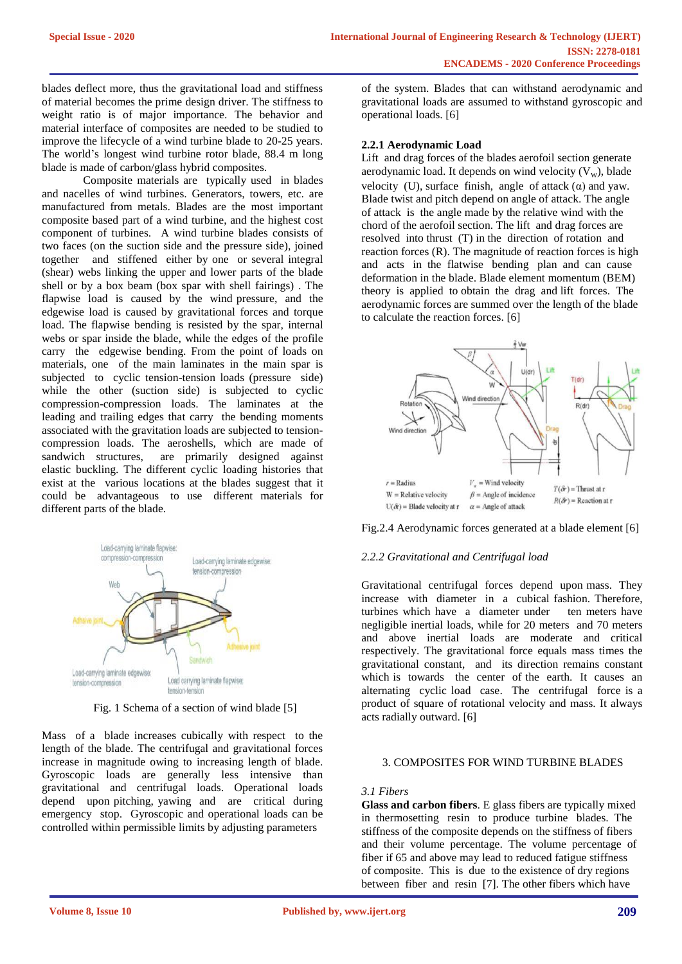blades deflect more, thus the gravitational load and stiffness of material becomes the prime design driver. The stiffness to weight ratio is of major importance. The behavior and material interface of composites are needed to be studied to improve the lifecycle of a wind turbine blade to 20-25 years. The world's longest wind turbine rotor blade, 88.4 m long blade is made of carbon/glass hybrid composites.

Composite materials are typically used in blades and nacelles of wind turbines. Generators, towers, etc. are manufactured from metals. Blades are the most important composite based part of a wind turbine, and the highest cost component of turbines. A wind turbine blades consists of two faces (on the suction side and the pressure side), joined together and stiffened either by one or several integral (shear) webs linking the upper and lower parts of the blade shell or by a box beam (box spar with shell fairings) . The flapwise load is caused by the wind pressure, and the edgewise load is caused by gravitational forces and torque load. The flapwise bending is resisted by the spar, internal webs or spar inside the blade, while the edges of the profile carry the edgewise bending. From the point of loads on materials, one of the main laminates in the main spar is subjected to cyclic tension-tension loads (pressure side) while the other (suction side) is subjected to cyclic compression-compression loads. The laminates at the leading and trailing edges that carry the bending moments associated with the gravitation loads are subjected to tensioncompression loads. The aeroshells, which are made of sandwich structures, are primarily designed against elastic buckling. The different cyclic loading histories that exist at the various locations at the blades suggest that it could be advantageous to use different materials for different parts of the blade.



Fig. 1 Schema of a section of wind blade [5]

Mass of a blade increases cubically with respect to the length of the blade. The centrifugal and gravitational forces increase in magnitude owing to increasing length of blade. Gyroscopic loads are generally less intensive than gravitational and centrifugal loads. Operational loads depend upon pitching, yawing and are critical during emergency stop. Gyroscopic and operational loads can be controlled within permissible limits by adjusting parameters

of the system. Blades that can withstand aerodynamic and gravitational loads are assumed to withstand gyroscopic and operational loads. [6]

### **2.2.1 Aerodynamic Load**

Lift and drag forces of the blades aerofoil section generate aerodynamic load. It depends on wind velocity  $(V_w)$ , blade velocity (U), surface finish, angle of attack  $(\alpha)$  and yaw. Blade twist and pitch depend on angle of attack. The angle of attack is the angle made by the relative wind with the chord of the aerofoil section. The lift and drag forces are resolved into thrust (T) in the direction of rotation and reaction forces (R). The magnitude of reaction forces is high and acts in the flatwise bending plan and can cause deformation in the blade. Blade element momentum (BEM) theory is applied to obtain the drag and lift forces. The aerodynamic forces are summed over the length of the blade to calculate the reaction forces. [6]



Fig.2.4 Aerodynamic forces generated at a blade element [6]

## *2.2.2 Gravitational and Centrifugal load*

Gravitational centrifugal forces depend upon mass. They increase with diameter in a cubical fashion. Therefore, turbines which have a diameter under ten meters have negligible inertial loads, while for 20 meters and 70 meters and above inertial loads are moderate and critical respectively. The gravitational force equals mass times the gravitational constant, and its direction remains constant which is towards the center of the earth. It causes an alternating cyclic load case. The centrifugal force is a product of square of rotational velocity and mass. It always acts radially outward. [6]

#### 3. COMPOSITES FOR WIND TURBINE BLADES

#### *3.1 Fibers*

**Glass and carbon fibers**. E glass fibers are typically mixed in thermosetting resin to produce turbine blades. The stiffness of the composite depends on the stiffness of fibers and their volume percentage. The volume percentage of fiber if 65 and above may lead to reduced fatigue stiffness of composite. This is due to the existence of dry regions between fiber and resin [7]. The other fibers which have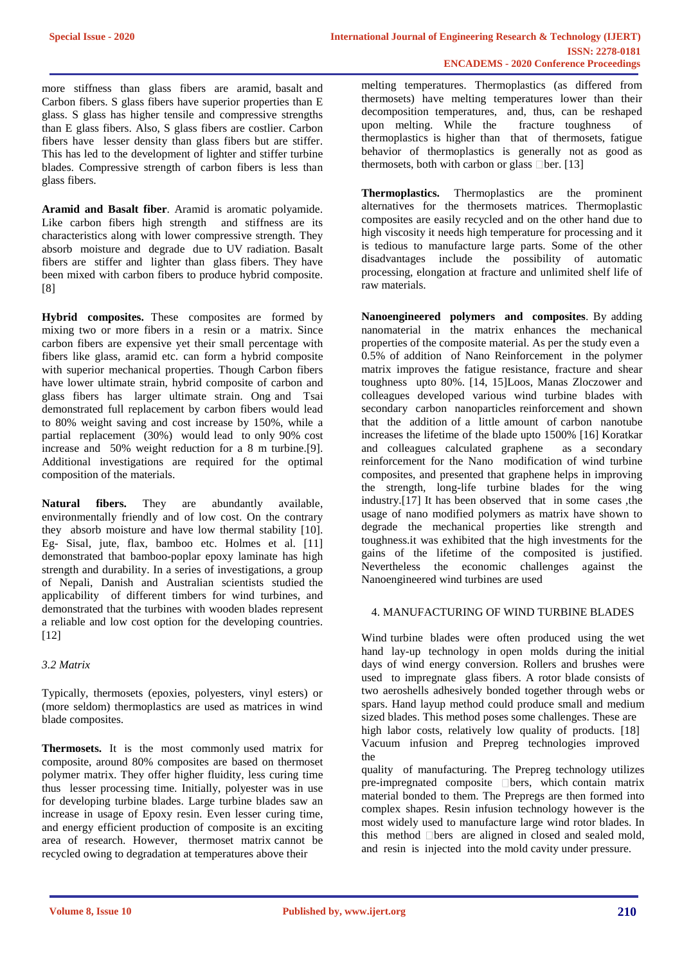more stiffness than glass fibers are aramid, basalt and Carbon fibers. S glass fibers have superior properties than E glass. S glass has higher tensile and compressive strengths than E glass fibers. Also, S glass fibers are costlier. Carbon fibers have lesser density than glass fibers but are stiffer. This has led to the development of lighter and stiffer turbine blades. Compressive strength of carbon fibers is less than glass fibers.

**Aramid and Basalt fiber**. Aramid is aromatic polyamide. Like carbon fibers high strength and stiffness are its characteristics along with lower compressive strength. They absorb moisture and degrade due to UV radiation. Basalt fibers are stiffer and lighter than glass fibers. They have been mixed with carbon fibers to produce hybrid composite. [8]

**Hybrid composites.** These composites are formed by mixing two or more fibers in a resin or a matrix. Since carbon fibers are expensive yet their small percentage with fibers like glass, aramid etc. can form a hybrid composite with superior mechanical properties. Though Carbon fibers have lower ultimate strain, hybrid composite of carbon and glass fibers has larger ultimate strain. Ong and Tsai demonstrated full replacement by carbon fibers would lead to 80% weight saving and cost increase by 150%, while a partial replacement (30%) would lead to only 90% cost increase and 50% weight reduction for a 8 m turbine.[9]. Additional investigations are required for the optimal composition of the materials.

**Natural fibers.** They are abundantly available, environmentally friendly and of low cost. On the contrary they absorb moisture and have low thermal stability [10]. Eg- Sisal, jute, flax, bamboo etc. Holmes et al. [11] demonstrated that bamboo-poplar epoxy laminate has high strength and durability. In a series of investigations, a group of Nepali, Danish and Australian scientists studied the applicability of different timbers for wind turbines, and demonstrated that the turbines with wooden blades represent a reliable and low cost option for the developing countries. [12]

### *3.2 Matrix*

Typically, thermosets (epoxies, polyesters, vinyl esters) or (more seldom) thermoplastics are used as matrices in wind blade composites.

**Thermosets.** It is the most commonly used matrix for composite, around 80% composites are based on thermoset polymer matrix. They offer higher fluidity, less curing time thus lesser processing time. Initially, polyester was in use for developing turbine blades. Large turbine blades saw an increase in usage of Epoxy resin. Even lesser curing time, and energy efficient production of composite is an exciting area of research. However, thermoset matrix cannot be recycled owing to degradation at temperatures above their

melting temperatures. Thermoplastics (as differed from thermosets) have melting temperatures lower than their decomposition temperatures, and, thus, can be reshaped upon melting. While the fracture toughness of thermoplastics is higher than that of thermosets, fatigue behavior of thermoplastics is generally not as good as thermosets, both with carbon or glass  $\Box$  ber. [13]

**Thermoplastics.** Thermoplastics are the prominent alternatives for the thermosets matrices. Thermoplastic composites are easily recycled and on the other hand due to high viscosity it needs high temperature for processing and it is tedious to manufacture large parts. Some of the other disadvantages include the possibility of automatic processing, elongation at fracture and unlimited shelf life of raw materials.

**Nanoengineered polymers and composites**. By adding nanomaterial in the matrix enhances the mechanical properties of the composite material. As per the study even a 0.5% of addition of Nano Reinforcement in the polymer matrix improves the fatigue resistance, fracture and shear toughness upto 80%. [14, 15]Loos, Manas Zloczower and colleagues developed various wind turbine blades with secondary carbon nanoparticles reinforcement and shown that the addition of a little amount of carbon nanotube increases the lifetime of the blade upto 1500% [16] Koratkar and colleagues calculated graphene as a secondary reinforcement for the Nano modification of wind turbine composites, and presented that graphene helps in improving the strength, long-life turbine blades for the wing industry.[17] It has been observed that in some cases ,the usage of nano modified polymers as matrix have shown to degrade the mechanical properties like strength and toughness.it was exhibited that the high investments for the gains of the lifetime of the composited is justified. Nevertheless the economic challenges against the Nanoengineered wind turbines are used

#### 4. MANUFACTURING OF WIND TURBINE BLADES

Wind turbine blades were often produced using the wet hand lay-up technology in open molds during the initial days of wind energy conversion. Rollers and brushes were used to impregnate glass fibers. A rotor blade consists of two aeroshells adhesively bonded together through webs or spars. Hand layup method could produce small and medium sized blades. This method poses some challenges. These are high labor costs, relatively low quality of products. [18] Vacuum infusion and Prepreg technologies improved the

quality of manufacturing. The Prepreg technology utilizes  $\mu$  pre-impregnated composite  $\Box$  bers, which contain matrix material bonded to them. The Prepregs are then formed into complex shapes. Resin infusion technology however is the most widely used to manufacture large wind rotor blades. In this method  $\Box$  bers are aligned in closed and sealed mold, and resin is injected into the mold cavity under pressure.